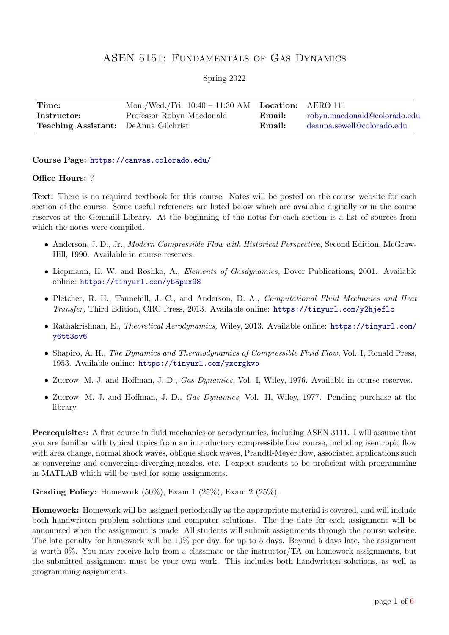## ASEN 5151: Fundamentals of Gas Dynamics

Spring 2022

| Time:                                       | Mon./Wed./Fri. $10:40 - 11:30$ AM Location: AERO 111 |                |                              |
|---------------------------------------------|------------------------------------------------------|----------------|------------------------------|
| Instructor:                                 | Professor Robyn Macdonald                            | $\n  Email:\n$ | robyn.macdonald@colorado.edu |
| <b>Teaching Assistant:</b> DeAnna Gilchrist |                                                      | Email:         | deanna.sewell@colorado.edu   |

## Course Page: <https://canvas.colorado.edu/>

## Office Hours: ?

Text: There is no required textbook for this course. Notes will be posted on the course website for each section of the course. Some useful references are listed below which are available digitally or in the course reserves at the Gemmill Library. At the beginning of the notes for each section is a list of sources from which the notes were compiled.

- Anderson, J. D., Jr., Modern Compressible Flow with Historical Perspective, Second Edition, McGraw-Hill, 1990. Available in course reserves.
- Liepmann, H. W. and Roshko, A., Elements of Gasdynamics, Dover Publications, 2001. Available online: <https://tinyurl.com/yb5pux98>
- Pletcher, R. H., Tannehill, J. C., and Anderson, D. A., Computational Fluid Mechanics and Heat Transfer, Third Edition, CRC Press, 2013. Available online: <https://tinyurl.com/y2hjeflc>
- Rathakrishnan, E., Theoretical Aerodynamics, Wiley, 2013. Available online: [https://tinyurl.com/](https://tinyurl.com/y6tt3sv6) [y6tt3sv6](https://tinyurl.com/y6tt3sv6)
- Shapiro, A. H., The Dynamics and Thermodynamics of Compressible Fluid Flow, Vol. I, Ronald Press, 1953. Available online: <https://tinyurl.com/yxergkvo>
- Zucrow, M. J. and Hoffman, J. D., *Gas Dynamics*, Vol. I, Wiley, 1976. Available in course reserves.
- Zucrow, M. J. and Hoffman, J. D., Gas Dynamics, Vol. II, Wiley, 1977. Pending purchase at the library.

Prerequisites: A first course in fluid mechanics or aerodynamics, including ASEN 3111. I will assume that you are familiar with typical topics from an introductory compressible flow course, including isentropic flow with area change, normal shock waves, oblique shock waves, Prandtl-Meyer flow, associated applications such as converging and converging-diverging nozzles, etc. I expect students to be proficient with programming in MATLAB which will be used for some assignments.

Grading Policy: Homework (50%), Exam 1 (25%), Exam 2 (25%).

Homework: Homework will be assigned periodically as the appropriate material is covered, and will include both handwritten problem solutions and computer solutions. The due date for each assignment will be announced when the assignment is made. All students will submit assignments through the course website. The late penalty for homework will be 10% per day, for up to 5 days. Beyond 5 days late, the assignment is worth 0%. You may receive help from a classmate or the instructor/TA on homework assignments, but the submitted assignment must be your own work. This includes both handwritten solutions, as well as programming assignments.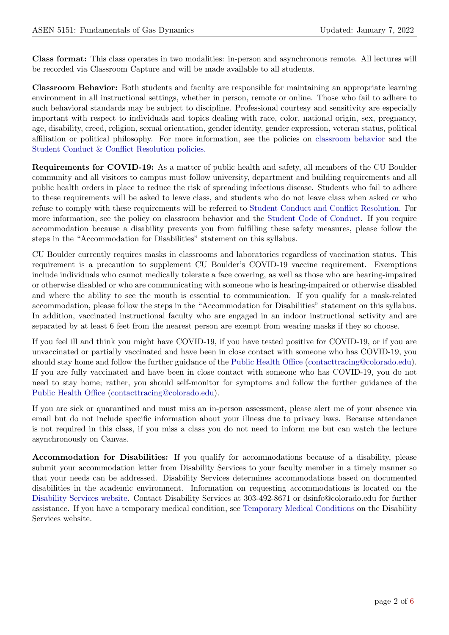Class format: This class operates in two modalities: in-person and asynchronous remote. All lectures will be recorded via Classroom Capture and will be made available to all students.

Classroom Behavior: Both students and faculty are responsible for maintaining an appropriate learning environment in all instructional settings, whether in person, remote or online. Those who fail to adhere to such behavioral standards may be subject to discipline. Professional courtesy and sensitivity are especially important with respect to individuals and topics dealing with race, color, national origin, sex, pregnancy, age, disability, creed, religion, sexual orientation, gender identity, gender expression, veteran status, political affiliation or political philosophy. For more information, see the policies on [classroom behavior](http://www.colorado.edu/policies/student-classroom-and-course-related-behavior) and the [Student Conduct & Conflict Resolution policies.](https://www.colorado.edu/sccr/student-conduct)

Requirements for COVID-19: As a matter of public health and safety, all members of the CU Boulder community and all visitors to campus must follow university, department and building requirements and all public health orders in place to reduce the risk of spreading infectious disease. Students who fail to adhere to these requirements will be asked to leave class, and students who do not leave class when asked or who refuse to comply with these requirements will be referred to [Student Conduct and Conflict Resolution.](https://www.colorado.edu/sccr/) For more information, see the policy on classroom behavior and the [Student Code of Conduct.](http://www.colorado.edu/osccr/) If you require accommodation because a disability prevents you from fulfilling these safety measures, please follow the steps in the "Accommodation for Disabilities" statement on this syllabus.

CU Boulder currently requires masks in classrooms and laboratories regardless of vaccination status. This requirement is a precaution to supplement CU Boulder's COVID-19 vaccine requirement. Exemptions include individuals who cannot medically tolerate a face covering, as well as those who are hearing-impaired or otherwise disabled or who are communicating with someone who is hearing-impaired or otherwise disabled and where the ability to see the mouth is essential to communication. If you qualify for a mask-related accommodation, please follow the steps in the "Accommodation for Disabilities" statement on this syllabus. In addition, vaccinated instructional faculty who are engaged in an indoor instructional activity and are separated by at least 6 feet from the nearest person are exempt from wearing masks if they so choose.

If you feel ill and think you might have COVID-19, if you have tested positive for COVID-19, or if you are unvaccinated or partially vaccinated and have been in close contact with someone who has COVID-19, you should stay home and follow the further guidance of the [Public Health Office](https://www.colorado.edu/health/public-health/quarantine-and-isolation) [\(contacttracing@colorado.edu\)](mailto:contacttracing@colorado.edu). If you are fully vaccinated and have been in close contact with someone who has COVID-19, you do not need to stay home; rather, you should self-monitor for symptoms and follow the further guidance of the [Public Health Office](https://www.colorado.edu/health/public-health/quarantine-and-isolation) [\(contacttracing@colorado.edu\)](mailto:contacttracing@colorado.edu).

If you are sick or quarantined and must miss an in-person assessment, please alert me of your absence via email but do not include specific information about your illness due to privacy laws. Because attendance is not required in this class, if you miss a class you do not need to inform me but can watch the lecture asynchronously on Canvas.

Accommodation for Disabilities: If you qualify for accommodations because of a disability, please submit your accommodation letter from Disability Services to your faculty member in a timely manner so that your needs can be addressed. Disability Services determines accommodations based on documented disabilities in the academic environment. Information on requesting accommodations is located on the [Disability Services website.](https://www.colorado.edu/disabilityservices/) Contact Disability Services at 303-492-8671 or dsinfo@colorado.edu for further assistance. If you have a temporary medical condition, see [Temporary Medical Conditions](http://www.colorado.edu/disabilityservices/students/temporary-medical-conditions) on the Disability Services website.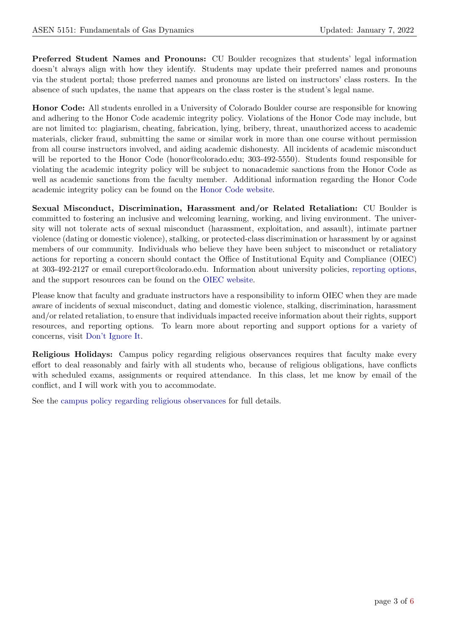Preferred Student Names and Pronouns: CU Boulder recognizes that students' legal information doesn't always align with how they identify. Students may update their preferred names and pronouns via the student portal; those preferred names and pronouns are listed on instructors' class rosters. In the absence of such updates, the name that appears on the class roster is the student's legal name.

Honor Code: All students enrolled in a University of Colorado Boulder course are responsible for knowing and adhering to the Honor Code academic integrity policy. Violations of the Honor Code may include, but are not limited to: plagiarism, cheating, fabrication, lying, bribery, threat, unauthorized access to academic materials, clicker fraud, submitting the same or similar work in more than one course without permission from all course instructors involved, and aiding academic dishonesty. All incidents of academic misconduct will be reported to the Honor Code (honor@colorado.edu; 303-492-5550). Students found responsible for violating the academic integrity policy will be subject to nonacademic sanctions from the Honor Code as well as academic sanctions from the faculty member. Additional information regarding the Honor Code academic integrity policy can be found on the [Honor Code website.](https://www.colorado.edu/osccr/honor-code)

Sexual Misconduct, Discrimination, Harassment and/or Related Retaliation: CU Boulder is committed to fostering an inclusive and welcoming learning, working, and living environment. The university will not tolerate acts of sexual misconduct (harassment, exploitation, and assault), intimate partner violence (dating or domestic violence), stalking, or protected-class discrimination or harassment by or against members of our community. Individuals who believe they have been subject to misconduct or retaliatory actions for reporting a concern should contact the Office of Institutional Equity and Compliance (OIEC) at 303-492-2127 or email cureport@colorado.edu. Information about university policies, [reporting options,](https://www.colorado.edu/oiec/reporting-resolutions/making-report) and the support resources can be found on the [OIEC website.](http://www.colorado.edu/institutionalequity/)

Please know that faculty and graduate instructors have a responsibility to inform OIEC when they are made aware of incidents of sexual misconduct, dating and domestic violence, stalking, discrimination, harassment and/or related retaliation, to ensure that individuals impacted receive information about their rights, support resources, and reporting options. To learn more about reporting and support options for a variety of concerns, visit [Don't Ignore It.](https://www.colorado.edu/dontignoreit/)

Religious Holidays: Campus policy regarding religious observances requires that faculty make every effort to deal reasonably and fairly with all students who, because of religious obligations, have conflicts with scheduled exams, assignments or required attendance. In this class, let me know by email of the conflict, and I will work with you to accommodate.

See the [campus policy regarding religious observances](http://www.colorado.edu/policies/observance-religious-holidays-and-absences-classes-andor-exams) for full details.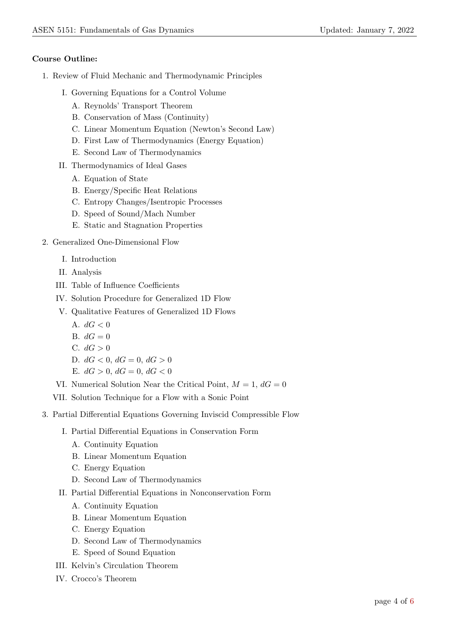## Course Outline:

- 1. Review of Fluid Mechanic and Thermodynamic Principles
	- I. Governing Equations for a Control Volume
		- A. Reynolds' Transport Theorem
		- B. Conservation of Mass (Continuity)
		- C. Linear Momentum Equation (Newton's Second Law)
		- D. First Law of Thermodynamics (Energy Equation)
		- E. Second Law of Thermodynamics
	- II. Thermodynamics of Ideal Gases
		- A. Equation of State
		- B. Energy/Specific Heat Relations
		- C. Entropy Changes/Isentropic Processes
		- D. Speed of Sound/Mach Number
		- E. Static and Stagnation Properties
- 2. Generalized One-Dimensional Flow
	- I. Introduction
	- II. Analysis
	- III. Table of Influence Coefficients
	- IV. Solution Procedure for Generalized 1D Flow
	- V. Qualitative Features of Generalized 1D Flows
		- A.  $dG < 0$
		- B.  $dG = 0$
		- C.  $dG > 0$
		- D.  $dG < 0$ ,  $dG = 0$ ,  $dG > 0$
		- E.  $dG > 0$ ,  $dG = 0$ ,  $dG < 0$
	- VI. Numerical Solution Near the Critical Point,  $M = 1$ ,  $dG = 0$
	- VII. Solution Technique for a Flow with a Sonic Point
- 3. Partial Differential Equations Governing Inviscid Compressible Flow
	- I. Partial Differential Equations in Conservation Form
		- A. Continuity Equation
		- B. Linear Momentum Equation
		- C. Energy Equation
		- D. Second Law of Thermodynamics
	- II. Partial Differential Equations in Nonconservation Form
		- A. Continuity Equation
		- B. Linear Momentum Equation
		- C. Energy Equation
		- D. Second Law of Thermodynamics
		- E. Speed of Sound Equation
	- III. Kelvin's Circulation Theorem
	- IV. Crocco's Theorem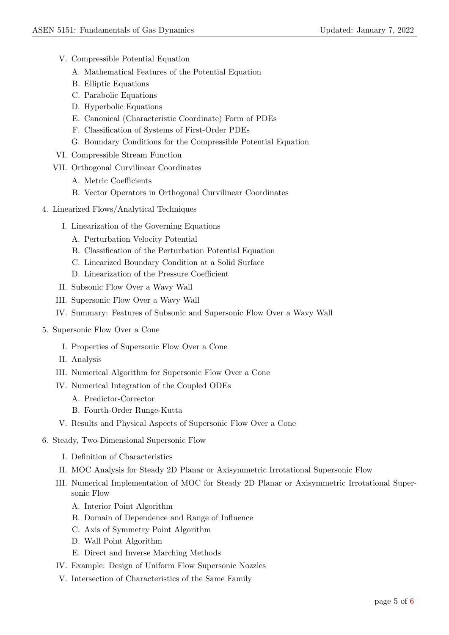- V. Compressible Potential Equation
	- A. Mathematical Features of the Potential Equation
	- B. Elliptic Equations
	- C. Parabolic Equations
	- D. Hyperbolic Equations
	- E. Canonical (Characteristic Coordinate) Form of PDEs
	- F. Classification of Systems of First-Order PDEs
	- G. Boundary Conditions for the Compressible Potential Equation
- VI. Compressible Stream Function
- VII. Orthogonal Curvilinear Coordinates
	- A. Metric Coefficients
	- B. Vector Operators in Orthogonal Curvilinear Coordinates
- 4. Linearized Flows/Analytical Techniques
	- I. Linearization of the Governing Equations
		- A. Perturbation Velocity Potential
		- B. Classification of the Perturbation Potential Equation
		- C. Linearized Boundary Condition at a Solid Surface
		- D. Linearization of the Pressure Coefficient
	- II. Subsonic Flow Over a Wavy Wall
	- III. Supersonic Flow Over a Wavy Wall
	- IV. Summary: Features of Subsonic and Supersonic Flow Over a Wavy Wall
- 5. Supersonic Flow Over a Cone
	- I. Properties of Supersonic Flow Over a Cone
	- II. Analysis
	- III. Numerical Algorithm for Supersonic Flow Over a Cone
	- IV. Numerical Integration of the Coupled ODEs
		- A. Predictor-Corrector
		- B. Fourth-Order Runge-Kutta
	- V. Results and Physical Aspects of Supersonic Flow Over a Cone
- 6. Steady, Two-Dimensional Supersonic Flow
	- I. Definition of Characteristics
	- II. MOC Analysis for Steady 2D Planar or Axisymmetric Irrotational Supersonic Flow
	- III. Numerical Implementation of MOC for Steady 2D Planar or Axisymmetric Irrotational Supersonic Flow
		- A. Interior Point Algorithm
		- B. Domain of Dependence and Range of Influence
		- C. Axis of Symmetry Point Algorithm
		- D. Wall Point Algorithm
		- E. Direct and Inverse Marching Methods
	- IV. Example: Design of Uniform Flow Supersonic Nozzles
	- V. Intersection of Characteristics of the Same Family